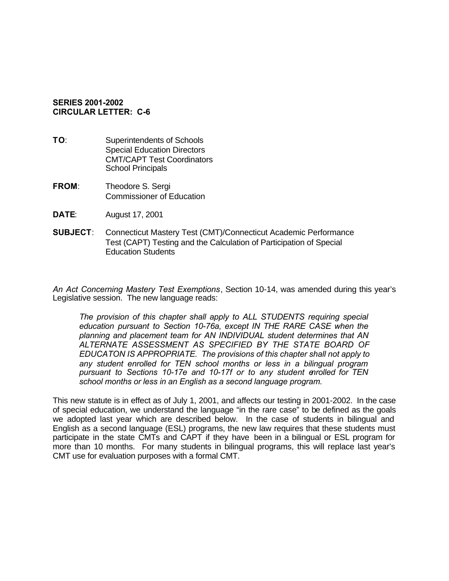## **SERIES 2001-2002 CIRCULAR LETTER: C-6**

- **TO:** Superintendents of Schools Special Education Directors CMT/CAPT Test Coordinators School Principals
- **FROM**: Theodore S. Sergi Commissioner of Education
- **DATE**: August 17, 2001
- **SUBJECT**: Connecticut Mastery Test (CMT)/Connecticut Academic Performance Test (CAPT) Testing and the Calculation of Participation of Special Education Students

*An Act Concerning Mastery Test Exemptions*, Section 10-14, was amended during this year's Legislative session. The new language reads:

*The provision of this chapter shall apply to ALL STUDENTS requiring special education pursuant to Section 10-76a, except IN THE RARE CASE when the planning and placement team for AN INDIVIDUAL student determines that AN ALTERNATE ASSESSMENT AS SPECIFIED BY THE STATE BOARD OF EDUCATON IS APPROPRIATE. The provisions of this chapter shall not apply to any student enrolled for TEN school months or less in a bilingual program pursuant to Sections 10-17e and 10-17f or to any student enrolled for TEN school months or less in an English as a second language program.* 

This new statute is in effect as of July 1, 2001, and affects our testing in 2001-2002. In the case of special education, we understand the language "in the rare case" to be defined as the goals we adopted last year which are described below. In the case of students in bilingual and English as a second language (ESL) programs, the new law requires that these students must participate in the state CMTs and CAPT if they have been in a bilingual or ESL program for more than 10 months. For many students in bilingual programs, this will replace last year's CMT use for evaluation purposes with a formal CMT.